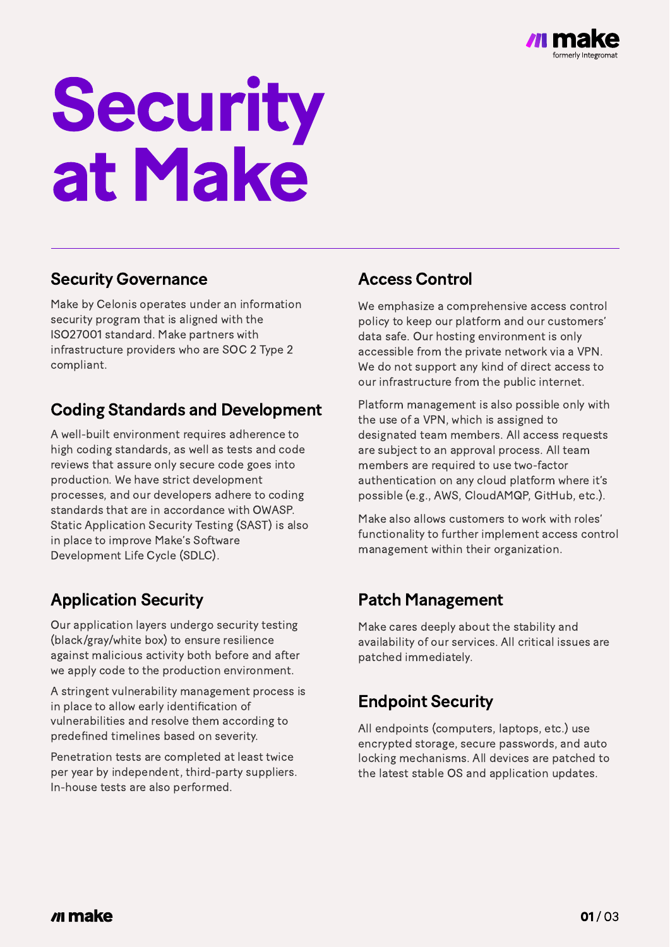

# Security at Make

#### Access Control

We emphasize a comprehensive access control policy to keep our platform and our customers' data safe. Our hosting environment is only accessible from the private network via a VPN. We do not support any kind of direct access to our infrastructure from the public internet.

Platform management is also possible only with the use of a VPN, which is assigned to designated team members. All access requests are subject to an approval process. All team members are required to use two-factor authentication on any cloud platform where it's possible (e.g., AWS, CloudAMQP, GitHub, etc.).

Make also allows customers to work with roles' functionality to further implement access control management within their organization.

#### Security Governance

#### Coding Standards and Development

Make by Celonis operates under an information security program that is aligned with the ISO27001 standard. Make partners with infrastructure providers who are SOC 2 Type 2 compliant.

A well-built environment requires adherence to high coding standards, as well as tests and code reviews that assure only secure code goes into production. We have strict development processes, and our developers adhere to coding standards that are in accordance with OWASP. Static Application Security Testing (SAST) is also in place to improve Make's Software Development Life Cycle (SDLC).

## Application Security

Our application layers undergo security testing (black/gray/white box) to ensure resilience against malicious activity both before and after we apply code to the production environment.

A stringent vulnerability management process is in place to allow early identification of vulnerabilities and resolve them according to predefined timelines based on severity.

Penetration tests are completed at least twice per year by independent, third-party suppliers. In-house tests are also performed.

#### Patch Management

#### Endpoint Security

Make cares deeply about the stability and availability of our services. All critical issues are patched immediately.

All endpoints (computers, laptops, etc.) use encrypted storage, secure passwords, and auto locking mechanisms. All devices are patched to the latest stable OS and application updates.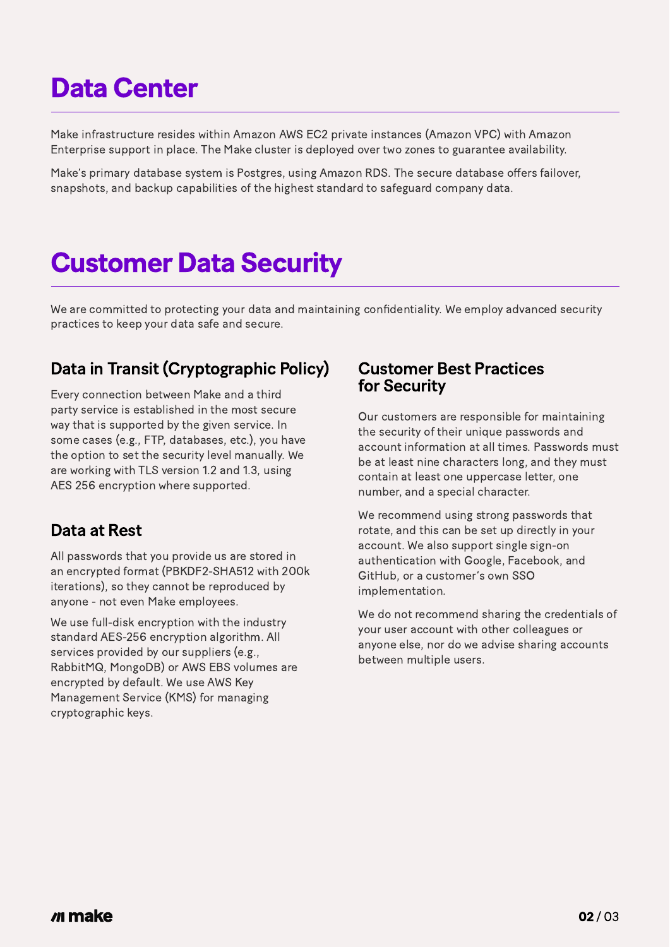Make infrastructure resides within Amazon AWS EC2 private instances (Amazon VPC) with Amazon Enterprise support in place. The Make cluster is deployed over two zones to guarantee availability.

Make's primary database system is Postgres, using Amazon RDS. The secure database offers failover, snapshots, and backup capabilities of the highest standard to safeguard company data.

# **Customer Data Security**

## Data Center

We are committed to protecting your data and maintaining confidentiality. We employ advanced security practices to keep your data safe and secure.

#### Customer Best Practices for Security

#### Data at Rest

Our customers are responsible for maintaining the security of their unique passwords and account information at all times. Passwords must be at least nine characters long, and they must contain at least one uppercase letter, one

number, and a special character.

We recommend using strong passwords that rotate, and this can be set up directly in your account. We also support single sign-on authentication with Google, Facebook, and GitHub, or a customer's own SSO implementation.

We do not recommend sharing the credentials of your user account with other colleagues or anyone else, nor do we advise sharing accounts between multiple users.

#### *make*

All passwords that you provide us are stored in an encrypted format (PBKDF2-SHA512 with 200k iterations), so they cannot be reproduced by anyone - not even Make employees.

We use full-disk encryption with the industry standard AES-256 encryption algorithm. All services provided by our suppliers (e.g., RabbitMQ, MongoDB) or AWS EBS volumes are encrypted by default. We use AWS Key Management Service (KMS) for managing cryptographic keys.

#### Data in Transit (Cryptographic Policy)

Every connection between Make and a third party service is established in the most secure way that is supported by the given service. In some cases (e.g., FTP, databases, etc.), you have the option to set the security level manually. We are working with TLS version 1.2 and 1.3, using AES 256 encryption where supported.